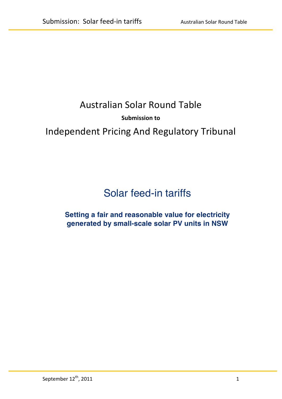## Australian Solar Round Table

## **Submission to**

# Independent Pricing And Regulatory Tribunal

# Solar feed-in tariffs

## **Setting a fair and reasonable value for electricity generated by small-scale solar PV units in NSW**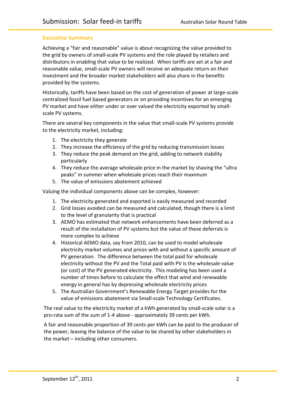## **Executive Summary**

Achieving a "fair and reasonable" value is about recognizing the value provided to the grid by owners of small-scale PV systems and the role played by retailers and distributors in enabling that value to be realized. When tariffs are set at a fair and reasonable value, small-scale PV owners will receive an adequate return on their investment and the broader market stakeholders will also share in the benefits provided by the systems.

Historically, tariffs have been based on the cost of generation of power at large-scale centralized fossil fuel based generators or on providing incentives for an emerging PV market and have either under or over valued the electricity exported by smallscale PV systems.

There are several key components in the value that small-scale PV systems provide to the electricity market, including:

- 1. The electricity they generate
- 2. They increase the efficiency of the grid by reducing transmission losses
- 3. They reduce the peak demand on the grid, adding to network stability particularly\*
- 4. They reduce the average wholesale price in the market by shaving the "ultra" peaks" in summer when wholesale prices reach their maximum
- 5. The value of emissions abatement achieved

Valuing the individual components above can be complex, however:

- 1. The electricity generated and exported is easily measured and recorded
- 2. Grid losses avoided can be measured and calculated, though there is a limit to the level of granularity that is practical
- 3. AEMO has estimated that network enhancements have been deferred as a result of the installation of PV systems but the value of these deferrals is more complex to achieve
- 4. Historical AEMO data, say from 2010, can be used to model wholesale electricity market volumes and prices with and without a specific amount of PV generation. The difference between the total paid for wholesale electricity without the PV and the Total paid with PV is the wholesale value (or cost) of the PV generated electricity. This modeling has been used a number of times before to calculate the effect that wind and renewable energy in general has by depressing wholesale electricity prices
- 5. The Australian Government's Renewable Energy Target provides for the value of emissions abatement via Small-scale Technology Certificates.

The real value to the electricity market of a kWh generated by small-scale solar is a pro-rata sum of the sum of 1-4 above - approximately 39 cents per kWh.

A fair and reasonable proportion of 39 cents per kWh can be paid to the producer of the power, leaving the balance of the value to be shared by other stakeholders in the market  $-$  including other consumers.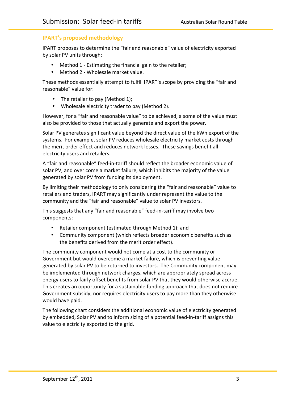## **IPART's proposed methodology**

IPART proposes to determine the "fair and reasonable" value of electricity exported by solar PV units through:

- Method 1 Estimating the financial gain to the retailer;
- Method 2 Wholesale market value.

These methods essentially attempt to fulfill IPART's scope by providing the "fair and reasonable" value for:

- The retailer to pay (Method 1);
- Wholesale electricity trader to pay (Method 2).

However, for a "fair and reasonable value" to be achieved, a some of the value must also be provided to those that actually generate and export the power.

Solar PV generates significant value beyond the direct value of the kWh export of the systems. For example, solar PV reduces wholesale electricity market costs through the merit order effect and reduces network losses. These savings benefit all electricity users and retailers.

A "fair and reasonable" feed-in-tariff should reflect the broader economic value of solar PV, and over come a market failure, which inhibits the majority of the value generated by solar PV from funding its deployment.

By limiting their methodology to only considering the "fair and reasonable" value to retailers and traders, IPART may significantly under represent the value to the community and the "fair and reasonable" value to solar PV investors.

This suggests that any "fair and reasonable" feed-in-tariff may involve two components:

- Retailer component (estimated through Method 1); and
- Community component (which reflects broader economic benefits such as the benefits derived from the merit order effect).

The community component would not come at a cost to the community or Government but would overcome a market failure, which is preventing value generated by solar PV to be returned to investors. The Community component may be implemented through network charges, which are appropriately spread across energy users to fairly offset benefits from solar PV that they would otherwise accrue. This creates an opportunity for a sustainable funding approach that does not require Government subsidy, nor requires electricity users to pay more than they otherwise would have paid.

The following chart considers the additional economic value of electricity generated by embedded, Solar PV and to inform sizing of a potential feed-in-tariff assigns this value to electricity exported to the grid.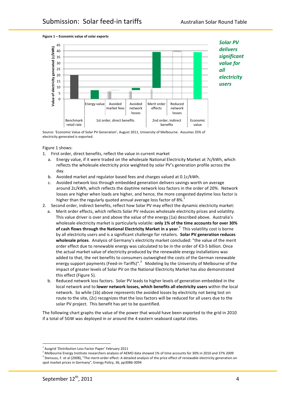

**Figure 1 – Economic value of solar exports** 

Source: 'Economic Value of Solar PV Generation', August 2011, University of Melbourne. Assumes 35% of electricity generated is exported.

Figure 1 shows:

- 1. First order, direct benefits, reflect the value in current market
	- a. Energy value, if it were traded on the wholesale National Electricity Market at 7c/kWh, which reflects the wholesale electricity price weighted by solar PV's generation profile across the day.
	- b. Avoided market and regulator based fees and charges valued at 0.1c/kWh.
	- c. Avoided network loss through embedded generation delivers savings worth on average around 2c/kWh, which reflects the daytime network loss factors in the order of 20%. Network losses are higher when loads are higher, and hence, the more congested daytime loss factor is higher than the regularly quoted annual average loss factor of 8%.
- 2. Second order, indirect benefits, reflect how Solar PV may effect the dynamic electricity market:
	- a. Merit order effects, which reflects Solar PV reduces wholesale electricity prices and volatility. This value driver is over and above the value of the energy (1a) described above. Australia's wholesale electricity market is particularly volatile: only 1% of the time accounts for over 30% **of cash flows through the National Electricity Market in a year.<sup>2</sup> This volatility cost is borne** by all electricity users and is a significant challenge for retailers. **Solar PV generation reduces** wholesale prices. Analysis of Germany's electricity market concluded: "the value of the merit order effect due to renewable energy was calculated to be in the order of  $£3-5$  billion. Once the actual market value of electricity produced by the renewable energy installations was added to that, the net benefits to consumers outweighed the costs of the German renewable energy support payments (Feed-in-Tariffs)".<sup>3</sup> Modeling by the University of Melbourne of the impact of greater levels of Solar PV on the National Electricity Market has also demonstrated this effect (Figure 5).
	- b. Reduced network loss factors. Solar PV leads to higher levels of generation embedded in the local network and to lower network losses, which benefits all electricity users within the local network. So while (1b) above represents the avoided losses by electricity not being lost on route to the site, (2c) recognizes that the loss factors will be reduced for all users due to the solar PV project. This benefit has yet to be quantified.

The following chart graphs the value of the power that would have been exported to the grid in 2010 if a total of 5GW was deployed in or around the 4 eastern seaboard capital cities.

\*\*\*\*\*\*\*\*\*\*\*\*\*\*\*\*\*\*\*\*\*\*\*\*\*\*\*\*\*\*\*\*\*\*\*\*\*\*\*\*\*\*\*\*\*\*\*\*\*\*\*\*\*\*

Ausgrid 'Distribution Loss Factor Paper' February 2011

Melbourne Energy Institute researchers analysis of AEMO data showed 1% of time accounts for 30% in 2010 and 37% 2009 <sup>3</sup> Stensuss, F. et al (2008), "The merit-order effect: A detailed analysis of the price effect of renewable electricity generation on spot market prices in Germany", Energy Policy, 36, pp3086-3094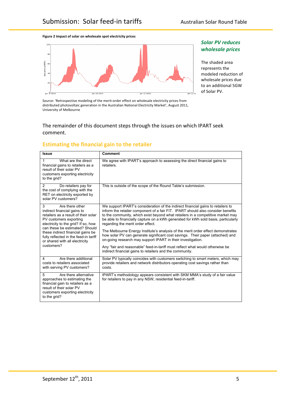#### **Figure)2 Impact)of)solar)on)wholesale)spot)electricity)prices**



**Solar PV reduces wholesale** prices

The shaded area represents the modeled reduction of wholesale prices due to an additional 5GW of Solar PV.

Source: 'Retrospective modeling of the merit-order effect on wholesale electricity prices from distributed photovoltaic generation in the Australian National Electricity Market', August 2011, University of Melbourne

#### The remainder of this document steps through the issues on which IPART seek comment.

## **Estimating the financial gain to the retailer**

| <b>Issue</b>                                                                                                                                                                                                                                                                                                                 | <b>Comment</b>                                                                                                                                                                                                                                                                                                                                                                                                                                                                                                                                                                                                                                                                                                                                                       |
|------------------------------------------------------------------------------------------------------------------------------------------------------------------------------------------------------------------------------------------------------------------------------------------------------------------------------|----------------------------------------------------------------------------------------------------------------------------------------------------------------------------------------------------------------------------------------------------------------------------------------------------------------------------------------------------------------------------------------------------------------------------------------------------------------------------------------------------------------------------------------------------------------------------------------------------------------------------------------------------------------------------------------------------------------------------------------------------------------------|
| What are the direct<br>1<br>financial gains to retailers as a<br>result of their solar PV<br>customers exporting electricity<br>to the grid?                                                                                                                                                                                 | We agree with IPART's approach to assessing the direct financial gains to<br>retailers.                                                                                                                                                                                                                                                                                                                                                                                                                                                                                                                                                                                                                                                                              |
| 2<br>Do retailers pay for<br>the cost of complying with the<br>RET on electricity exported by<br>solar PV customers?                                                                                                                                                                                                         | This is outside of the scope of the Round Table's submission.                                                                                                                                                                                                                                                                                                                                                                                                                                                                                                                                                                                                                                                                                                        |
| Are there other<br>3<br>indirect financial gains to<br>retailers as a result of their solar<br>PV customers exporting<br>electricity to the grid? If so, how<br>can these be estimated? Should<br>these indirect financial gains be<br>fully reflected in the feed-in tariff<br>or shared with all electricity<br>customers? | We support IPART's consideration of the indirect financial gains to retailers to<br>inform the retailer component of a fair FIT. IPART should also consider benefits<br>to the community, which exist beyond what retailers in a competitive market may<br>be able to financially capture on a kWh generated for kWh sold basis, particularly<br>regarding the merit order effect.<br>The Melbourne Energy Institute's analysis of the merit order effect demonstrates<br>how solar PV can generate significant cost savings. Their paper (attached) and<br>on-going research may support IPART in their investigation.<br>Any "fair and reasonable" feed-in-tariff must reflect what would otherwise be<br>indirect financial gains to retailers and the community. |
| 4<br>Are there additional<br>costs to retailers associated<br>with serving PV customers?                                                                                                                                                                                                                                     | Solar PV typically coincides with customers switching to smart meters, which may<br>provide retailers and network distributors operating cost savings rather than<br>costs.                                                                                                                                                                                                                                                                                                                                                                                                                                                                                                                                                                                          |
| 5<br>Are there alternative<br>approaches to estimating the<br>financial gain to retailers as a<br>result of their solar PV<br>customers exporting electricity<br>to the grid?                                                                                                                                                | IPART's methodology appears consistent with SKM MMA's study of a fair value<br>for retailers to pay in any NSW, residential feed-in-tariff.                                                                                                                                                                                                                                                                                                                                                                                                                                                                                                                                                                                                                          |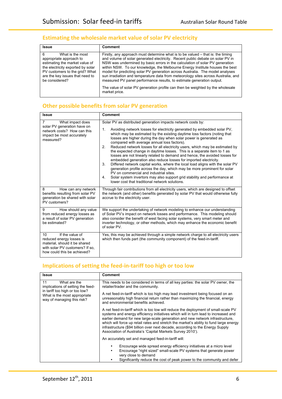## **Estimating the wholesale market value of solar PV electricity**

| <b>Issue</b>                                                                                                                                                                                                   | <b>Comment</b>                                                                                                                                                                                                                                                                                                                                                                                                                                                                                                                                                                   |
|----------------------------------------------------------------------------------------------------------------------------------------------------------------------------------------------------------------|----------------------------------------------------------------------------------------------------------------------------------------------------------------------------------------------------------------------------------------------------------------------------------------------------------------------------------------------------------------------------------------------------------------------------------------------------------------------------------------------------------------------------------------------------------------------------------|
| 6<br>What is the most<br>appropriate approach to<br>estimating the market value of<br>the electricity exported by solar<br>PV customers to the grid? What<br>are the key issues that need to<br>be considered? | Firstly, any approach must determine what is to be valued – that is: the timing<br>and volume of solar generated electricity. Recent public debate on solar PV in<br>NSW was undermined by basic errors in the calculation of solar PV generation<br>within NSW. To our knowledge, the Melbourne Energy Institute houses the best<br>model for predicting solar PV generation across Australia. The model analyses<br>sun irradiation and temperature data from meteorology sites across Australia, and<br>measured PV panel performance results, to estimate generation output. |
|                                                                                                                                                                                                                | The value of solar PV generation profile can then be weighted by the wholesale<br>market price.                                                                                                                                                                                                                                                                                                                                                                                                                                                                                  |

## **Other possible benefits from solar PV generation**

| <b>Issue</b>                                                                                                                                         | <b>Comment</b>                                                                                                                                                                                                                                                                                                                                                                                                                                                                                                                                                                                                                                                                                                                                                                                                                                                                                                                                                                                                                |
|------------------------------------------------------------------------------------------------------------------------------------------------------|-------------------------------------------------------------------------------------------------------------------------------------------------------------------------------------------------------------------------------------------------------------------------------------------------------------------------------------------------------------------------------------------------------------------------------------------------------------------------------------------------------------------------------------------------------------------------------------------------------------------------------------------------------------------------------------------------------------------------------------------------------------------------------------------------------------------------------------------------------------------------------------------------------------------------------------------------------------------------------------------------------------------------------|
| 7<br>What impact does<br>solar PV generation have on<br>network costs? How can this<br>impact be most accurately<br>measured?                        | Solar PV as distributed generation impacts network costs by:<br>1.<br>Avoiding network losses for electricity generated by embedded solar PV,<br>which may be estimated by the existing daytime loss factors (noting that<br>losses are higher during the day when solar power is generated as<br>compared with average annual loss factors).<br>Reduced network losses for all electricity users, which may be estimated by<br>2 <sub>1</sub><br>the expected change in daytime losses. This is a separate item to 1 as<br>losses are not linearly related to demand and hence, the avoided losses for<br>embedded generation also reduce losses for imported electricity.<br>Differed network capital works, where the local load aligns with the solar PV<br>3.<br>generation profile across the day, which may be more prominent for solar<br>PV on commercial and industrial sites.<br>Solar system invertors may also support grid stability and performance at<br>4.<br>lower cost that traditional network solutions. |
| 8<br>How can any network<br>benefits resulting from solar PV<br>generation be shared with solar<br>PV customers?                                     | Through fair contributions from all electricity users, which are designed to offset<br>the network (and other) benefits generated by solar PV that would otherwise fully<br>accrue to the electricity user.                                                                                                                                                                                                                                                                                                                                                                                                                                                                                                                                                                                                                                                                                                                                                                                                                   |
| How should any value<br>9<br>from reduced energy losses as<br>a result of solar PV generation<br>be estimated?                                       | We support the undertaking of network modeling to enhance our understanding<br>of Solar PV's impact on network losses and performance. This modeling should<br>also consider the benefit of west facing solar systems, very smart meter and<br>inverter technology, or other methods, which may enhance the economic benefit<br>of solar PV.                                                                                                                                                                                                                                                                                                                                                                                                                                                                                                                                                                                                                                                                                  |
| If the value of<br>10<br>reduced energy losses is<br>material, should it be shared<br>with solar PV customers? If so.<br>how could this be achieved? | Yes, this may be achieved through a simple network charge to all electricity users<br>which then funds part (the community component) of the feed-in-tariff.                                                                                                                                                                                                                                                                                                                                                                                                                                                                                                                                                                                                                                                                                                                                                                                                                                                                  |

## Implications of setting the feed-in-tariff too high or too low

| <b>Issue</b>                                                                                                                                            | <b>Comment</b>                                                                                                                                                                                                                                                                                                                                                                                                                                                                                     |
|---------------------------------------------------------------------------------------------------------------------------------------------------------|----------------------------------------------------------------------------------------------------------------------------------------------------------------------------------------------------------------------------------------------------------------------------------------------------------------------------------------------------------------------------------------------------------------------------------------------------------------------------------------------------|
| 11<br>What are the<br>implications of setting the feed-<br>in tariff too high or too low?<br>What is the most appropriate<br>way of managing this risk? | This needs to be considered in terms of all key parties: the solar PV owner, the<br>retailer/trader and the community.<br>A net feed-in-tariff which is too high may lead investment being focused on an<br>unreasonably high financial return rather than maximizing the financial, energy<br>and environmental benefits achieved.                                                                                                                                                                |
|                                                                                                                                                         | A net feed-in-tariff which is too low will reduce the deployment of small-scale PV<br>systems and energy efficiency initiatives which will in turn lead to increased and<br>earlier demand for new large-scale generation and new network infrastructure,<br>which will force up retail rates and stretch the market's ability to fund large energy<br>infrastructure (\$94 billion over next decade, according to the Energy Supply<br>Association of Australia's 'Capital Markets Survey 2010'). |
|                                                                                                                                                         | An accurately set and managed feed-in-tariff will:                                                                                                                                                                                                                                                                                                                                                                                                                                                 |
|                                                                                                                                                         | Encourage wide spread energy efficiency initiatives at a micro level<br>Encourage "right sized" small-scale PV systems that generate power<br>very close to demand<br>Significantly reduce the cost of peak power to the community and defer                                                                                                                                                                                                                                                       |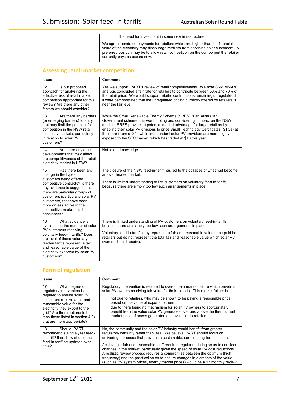#### the need for investment in some new infrastructure

We agree mandated payments for retailers which are higher than the financial value of the electricity may discourage retailers from servicing solar customers. A preferred position may be to allow retail competition on the component the retailer currently pays as occurs now.

## **Assessing retail market competition**

| Issue                                                                                                                                                                                                                                                                                                                           | <b>Comment</b>                                                                                                                                                                                                                                                                                                                                                                                                                                                   |
|---------------------------------------------------------------------------------------------------------------------------------------------------------------------------------------------------------------------------------------------------------------------------------------------------------------------------------|------------------------------------------------------------------------------------------------------------------------------------------------------------------------------------------------------------------------------------------------------------------------------------------------------------------------------------------------------------------------------------------------------------------------------------------------------------------|
| 12<br>Is our proposed<br>approach for analysing the<br>effectiveness of retail market<br>competition appropriate for this<br>review? Are there any other<br>factors we should consider?                                                                                                                                         | Yes we support IPART's review of retail competitiveness. We note SKM MMA's<br>analysis concluded a fair rate for retailers to contribute between 50% and 70% of<br>the retail price. We would support retailer contributions remaining unregulated if<br>it were demonstrated that the unregulated pricing currently offered by retailers is<br>near the fair level.                                                                                             |
| 13<br>Are there any barriers<br>(or emerging barriers) to entry<br>that may limit the potential for<br>competition in the NSW retail<br>electricity markets, particularly<br>in relation to solar PV<br>customers?                                                                                                              | While the Small Renewable Energy Scheme (SRES) is an Australian<br>Government scheme, it is worth noting and considering it impact on the NSW<br>market. SRES provides a potential market advantage for large retailers by<br>enabling their solar PV divisions to price Small Technology Certificates (STCs) at<br>their maximum of \$40 while independent solar PV providers are more highly<br>exposed to the STC market, which has traded at \$18 this year. |
| 14<br>Are there any other<br>developments that may affect<br>the competitiveness of the retail<br>electricity market in NSW?                                                                                                                                                                                                    | Not to our knowledge.                                                                                                                                                                                                                                                                                                                                                                                                                                            |
| 15<br>Has there been any<br>change in the types of<br>customers being offered<br>competitive contracts? Is there<br>any evidence to suggest that<br>there are particular groups of<br>customers (particularly solar PV<br>customers) that have been<br>more or less active in the<br>competitive market, such as<br>pensioners? | The closure of the NSW feed-in-tariff has led to the collapse of what had become<br>an over heated market.<br>There is limited understanding of PV customers on voluntary feed-in-tariffs<br>because there are simply too few such arrangements in place.                                                                                                                                                                                                        |
| What evidence is<br>16<br>available on the number of solar<br>PV customers receiving<br>voluntary feed-in tariffs? Does<br>the level of these voluntary<br>feed-in tariffs represent a fair<br>and reasonable value of the<br>electricity exported by solar PV<br>customers?                                                    | There is limited understanding of PV customers on voluntary feed-in-tariffs<br>because there are simply too few such arrangements in place.<br>Voluntary feed-in-tariffs may represent a fair and reasonable value to be paid be<br>retailers but do not represent the total fair and reasonable value which solar PV<br>owners should receive.                                                                                                                  |

## **Form of regulation**

| <b>Issue</b>                                                                                                                                                                                                                                                                                      | <b>Comment</b>                                                                                                                                                                                                                                                                                                                                                                                                                                                                                                                                                                                                                                                |
|---------------------------------------------------------------------------------------------------------------------------------------------------------------------------------------------------------------------------------------------------------------------------------------------------|---------------------------------------------------------------------------------------------------------------------------------------------------------------------------------------------------------------------------------------------------------------------------------------------------------------------------------------------------------------------------------------------------------------------------------------------------------------------------------------------------------------------------------------------------------------------------------------------------------------------------------------------------------------|
| 17 <sup>2</sup><br>What degree of<br>regulatory intervention is<br>required to ensure solar PV<br>customers receive a fair and<br>reasonable value for the<br>electricity they export to the<br>grid? Are there options (other<br>than those listed in section 4.2)<br>that are more appropriate? | Regulatory intervention is required to overcome a market failure which prevents<br>solar PV owners receiving fair value for their exports. This market failure is:<br>not due to retailers, who may be shown to be paying a reasonable price<br>٠<br>based on the value of exports to them<br>due to there being no mechanism for solar PV owners to appropriately<br>benefit from the value solar PV generates over and above the then current<br>market price of power generated and available to retailers.                                                                                                                                                |
| 18<br>Should IPART<br>recommend a single year feed-<br>in tariff? If so, how should the<br>feed-in tariff be updated over<br>time?                                                                                                                                                                | No, the community and the solar PV industry would benefit from greater<br>regulatory certainty rather than less. We believe IPART should focus on<br>delivering a process that provides a sustainable, certain, long-term solution.<br>Achieving a fair and reasonable tariff requires regular updating so as to consider<br>changes in the market, particularly given the speed of solar PV cost reductions.<br>A realistic review process requires a compromise between the optimum (high<br>frequency) and the practical so as to ensure changes in elements of the value<br>(such as PV system prices, energy market prices) would be a 12 monthly review |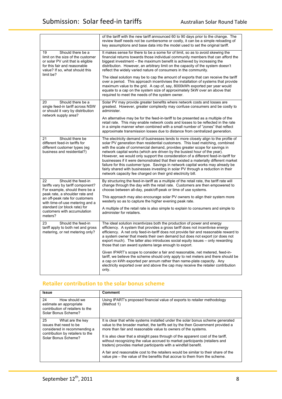|                                                                                                                                                                                                                                                                                  | of the tariff with the new tariff announced 60 to 90 days prior to the change. The<br>review itself needs not be cumbersome or costly, it can be a simple reloading of<br>key assumptions and base data into the model used to set the original tariff.                                                                                                                                                                                                                                                                                                                                                                                                                                                                                           |
|----------------------------------------------------------------------------------------------------------------------------------------------------------------------------------------------------------------------------------------------------------------------------------|---------------------------------------------------------------------------------------------------------------------------------------------------------------------------------------------------------------------------------------------------------------------------------------------------------------------------------------------------------------------------------------------------------------------------------------------------------------------------------------------------------------------------------------------------------------------------------------------------------------------------------------------------------------------------------------------------------------------------------------------------|
| Should there be a<br>19<br>limit on the size of the customer<br>or solar PV unit that is eligible<br>for this fair and reasonable<br>value? If so, what should this<br>limit be?                                                                                                 | It makes sense for there to be a some for of limit, so as to avoid skewing the<br>financial returns towards those individual community members that can afford the<br>biggest investment – the maximum benefit is achieved by increasing the<br>distribution. However, an arbitrary limit on the capacity of the system doesn't<br>reflect the widely varied nature of consumers in the community.                                                                                                                                                                                                                                                                                                                                                |
|                                                                                                                                                                                                                                                                                  | The ideal solution may be to cap the amount of exports that can receive the tariff<br>over a period. This approach incentivises the installation of systems that provide<br>maximum value to the grid. A cap of, say, 8000kWh exported per year would<br>equate to a cap on the system size of approximately 5kW over an above that<br>required to meet the needs of the system owner.                                                                                                                                                                                                                                                                                                                                                            |
| 20<br>Should there be a<br>single feed-in tariff across NSW<br>or should it vary by distribution<br>network supply area?                                                                                                                                                         | Solar PV may provide greater benefits where network costs and losses are<br>greatest. However, greater complexity may confuse consumers and be costly to<br>administer.                                                                                                                                                                                                                                                                                                                                                                                                                                                                                                                                                                           |
|                                                                                                                                                                                                                                                                                  | An alternative may be for the feed-in-tariff to be presented as a multiple of the<br>retail rate. This may enable network costs and losses to be reflected in the rate<br>in a simple manner when combined with a small number of "zones" that reflect<br>approximate transmission losses due to distance from centralized generation.                                                                                                                                                                                                                                                                                                                                                                                                            |
| 21<br>Should there be<br>different feed-in tariffs for<br>different customer types (eg<br>business and residential?)                                                                                                                                                             | The electricity demand of businesses tends to more closely align to the profile of<br>solar PV generation than residential customers. This load matching, combined<br>with the scale of commercial demand, provides greater scope for savings in<br>network capital works (which are driven by the busiest hour of the year).<br>However, we would only support the consideration of a different feed-in-tariff for<br>businesses if it were demonstrated that their existed a materially different market<br>failure for this customer type. Savings in network capital works may already be<br>fairly shared with businesses investing in solar PV through a reduction in their<br>network capacity fee charged on their grid electricity bill. |
| Should the feed-in<br>22<br>tariffs vary by tariff component?<br>For example, should there be a<br>peak rate, a shoulder rate and<br>an off-peak rate for customers<br>with time-of-use metering and a<br>standard (or block rate) for<br>customers with accumulation<br>meters? | By structuring the feed-in-tariff as a multiple of the retail rate, the tariff rate will<br>change through the day with the retail rate. Customers are then empowered to<br>choose between all-day, peak/off-peak or time of use systems.                                                                                                                                                                                                                                                                                                                                                                                                                                                                                                         |
|                                                                                                                                                                                                                                                                                  | This approach may also encourage solar PV owners to align their system more<br>westerly so as to capture the higher evening peak rate.                                                                                                                                                                                                                                                                                                                                                                                                                                                                                                                                                                                                            |
|                                                                                                                                                                                                                                                                                  | A multiple of the retail rate is also simple to explain to consumers and simple to<br>administer for retailers.                                                                                                                                                                                                                                                                                                                                                                                                                                                                                                                                                                                                                                   |
| 23<br>Should the feed-in<br>tariff apply to both net and gross<br>metering, or net metering only?                                                                                                                                                                                | The ideal solution incentivizes both the production of power and energy<br>efficiency. A system that provides a gross tariff does not incentivise energy<br>efficiency. A net only feed-in-tariff does not provide fair and reasonable reward to<br>a system owner that meets their own demand but does not export (or does not<br>export much). The latter also introduces social equity issues - only rewarding<br>those that can award systems large enough to export.                                                                                                                                                                                                                                                                         |
|                                                                                                                                                                                                                                                                                  | Given IPART's scope to consider a fair and reasonable, net metered, feed-in-<br>tariff, we believe the scheme should only apply to net meters and there should be<br>a cap on kWh exported per annum rather than name-plate capacity. Any<br>electricity exported over and above the cap may receive the retailer contribution<br>only.                                                                                                                                                                                                                                                                                                                                                                                                           |

## Retailer contribution to the solar bonus scheme

| <b>Issue</b>                                                                                                                                | <b>Comment</b>                                                                                                                                                                                                                     |
|---------------------------------------------------------------------------------------------------------------------------------------------|------------------------------------------------------------------------------------------------------------------------------------------------------------------------------------------------------------------------------------|
| 24<br>How should we<br>estimate an appropriate<br>contribution of retailers to the<br>Solar Bonus Scheme?                                   | Using IPART's proposed financial value of exports to retailer methodology<br>(Method 1)                                                                                                                                            |
| 25<br>What are the key<br>issues that need to be<br>considered in recommending a<br>contribution by retailers to the<br>Solar Bonus Scheme? | It is clear that while systems installed under the solar bonus scheme generated<br>value to the broader market, the tariffs set by the then Government provided a<br>more than fair and reasonable value to owners of the systems. |
|                                                                                                                                             | It is also clear that a straight pass through of the apparent cost of the tariff.<br>without recognizing the value accrued to market participants (retailers and<br>traders) provides market participants with a windfall benefit. |
|                                                                                                                                             | A fair and reasonable cost to the retailers would be similar to their share of the<br>value pie – the value of the benefits that accrue to them from the scheme.                                                                   |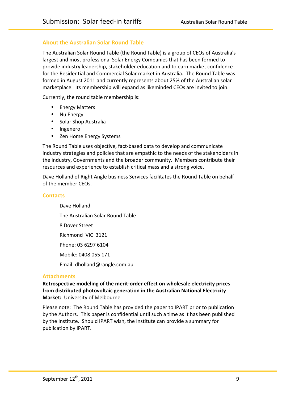## About the Australian Solar Round Table

The Australian Solar Round Table (the Round Table) is a group of CEOs of Australia's largest and most professional Solar Energy Companies that has been formed to provide industry leadership, stakeholder education and to earn market confidence for the Residential and Commercial Solar market in Australia. The Round Table was formed in August 2011 and currently represents about 25% of the Australian solar marketplace. Its membership will expand as likeminded CEOs are invited to join.

Currently, the round table membership is:

- **Energy Matters**
- Nu Energy
- Solar Shop Australia
- Ingenero
- Zen Home Energy Systems

The Round Table uses objective, fact-based data to develop and communicate industry strategies and policies that are empathic to the needs of the stakeholders in the industry, Governments and the broader community. Members contribute their resources and experience to establish critical mass and a strong voice.

Dave Holland of Right Angle business Services facilitates the Round Table on behalf of the member CEOs.

#### **Contacts**

Dave Holland The Australian Solar Round Table 8 Dover Street Richmond VIC 3121 Phone: 03 6297 6104 Mobile: 0408 055 171 Email: dholland@rangle.com.au

#### **Attachments**

Retrospective modeling of the merit-order effect on wholesale electricity prices from distributed photovoltaic generation in the Australian National Electricity **Market: University of Melbourne** 

Please note: The Round Table has provided the paper to IPART prior to publication by the Authors. This paper is confidential until such a time as it has been published by the Institute. Should IPART wish, the Institute can provide a summary for publication by IPART.